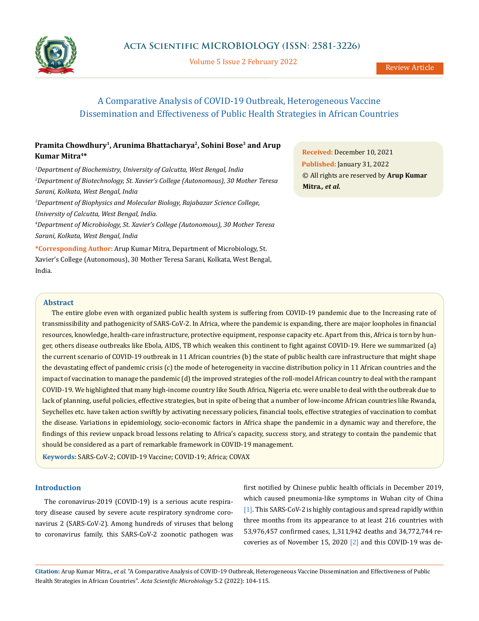

Volume 5 Issue 2 February 2022

# A Comparative Analysis of COVID-19 Outbreak, Heterogeneous Vaccine Dissemination and Effectiveness of Public Health Strategies in African Countries

## **Pramita Chowdhury1, Arunima Bhattacharya2, Sohini Bose3 and Arup Kumar Mitra4\***

 *Department of Biochemistry, University of Calcutta, West Bengal, India Department of Biotechnology, St. Xavier's College (Autonomous), 30 Mother Teresa Sarani, Kolkata, West Bengal, India Department of Biophysics and Molecular Biology, Rajabazar Science College,* 

*University of Calcutta, West Bengal, India.*

*4 Department of Microbiology, St. Xavier's College (Autonomous), 30 Mother Teresa Sarani, Kolkata, West Bengal, India*

**\*Corresponding Author:** Arup Kumar Mitra, Department of Microbiology, St. Xavier's College (Autonomous), 30 Mother Teresa Sarani, Kolkata, West Bengal, India.

**Received:** December 10, 2021 **Published:** January 31, 2022 © All rights are reserved by **Arup Kumar Mitra***., et al.*

## **Abstract**

The entire globe even with organized public health system is suffering from COVID-19 pandemic due to the Increasing rate of transmissibility and pathogenicity of SARS-CoV-2. In Africa, where the pandemic is expanding, there are major loopholes in financial resources, knowledge, health-care infrastructure, protective equipment, response capacity etc. Apart from this, Africa is torn by hunger, others disease outbreaks like Ebola, AIDS, TB which weaken this continent to fight against COVID-19. Here we summarized (a) the current scenario of COVID-19 outbreak in 11 African countries (b) the state of public health care infrastructure that might shape the devastating effect of pandemic crisis (c) the mode of heterogeneity in vaccine distribution policy in 11 African countries and the impact of vaccination to manage the pandemic (d) the improved strategies of the roll-model African country to deal with the rampant COVID-19. We highlighted that many high-income country like South Africa, Nigeria etc. were unable to deal with the outbreak due to lack of planning, useful policies, effective strategies, but in spite of being that a number of low-income African countries like Rwanda, Seychelles etc. have taken action swiftly by activating necessary policies, financial tools, effective strategies of vaccination to combat the disease. Variations in epidemiology, socio-economic factors in Africa shape the pandemic in a dynamic way and therefore, the findings of this review unpack broad lessons relating to Africa's capacity, success story, and strategy to contain the pandemic that should be considered as a part of remarkable framework in COVID-19 management.

**Keywords:** SARS-CoV-2; COVID-19 Vaccine; COVID-19; Africa; COVAX

## **Introduction**

The coronavirus-2019 (COVID-19) is a serious acute respiratory disease caused by severe acute respiratory syndrome coronavirus 2 (SARS-CoV-2). Among hundreds of viruses that belong to coronavirus family, this SARS-CoV-2 zoonotic pathogen was first notified by Chinese public health officials in December 2019, which caused pneumonia-like symptoms in Wuhan city of China [1]. This SARS-CoV-2 is highly contagious and spread rapidly within three months from its appearance to at least 216 countries with 53,976,457 confirmed cases, 1,311,942 deaths and 34,772,744 recoveries as of November 15, 2020 [2] and this COVID-19 was de-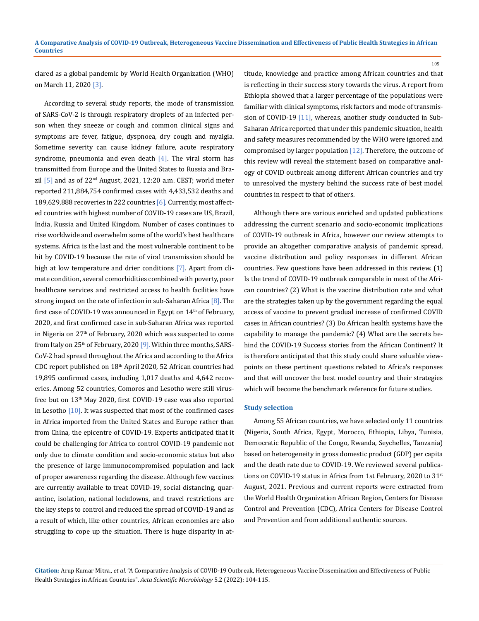clared as a global pandemic by World Health Organization (WHO) on March 11, 2020 [3].

According to several study reports, the mode of transmission of SARS-CoV-2 is through respiratory droplets of an infected person when they sneeze or cough and common clinical signs and symptoms are fever, fatigue, dyspnoea, dry cough and myalgia. Sometime severity can cause kidney failure, acute respiratory syndrome, pneumonia and even death  $[4]$ . The viral storm has transmitted from Europe and the United States to Russia and Brazil  $[5]$  and as of  $22^{nd}$  August, 2021, 12:20 a.m. CEST; world meter reported 211,884,754 confirmed cases with 4,433,532 deaths and 189,629,888 recoveries in 222 countries [6]. Currently, most affected countries with highest number of COVID-19 cases are US, Brazil, India, Russia and United Kingdom. Number of cases continues to rise worldwide and overwhelm some of the world's best healthcare systems. Africa is the last and the most vulnerable continent to be hit by COVID-19 because the rate of viral transmission should be high at low temperature and drier conditions [7]. Apart from climate condition, several comorbidities combined with poverty, poor healthcare services and restricted access to health facilities have strong impact on the rate of infection in sub-Saharan Africa [8]. The first case of COVID-19 was announced in Egypt on  $14<sup>th</sup>$  of February, 2020, and first confirmed case in sub-Saharan Africa was reported in Nigeria on 27<sup>th</sup> of February, 2020 which was suspected to come from Italy on  $25<sup>th</sup>$  of February, 2020 [9]. Within three months, SARS-CoV-2 had spread throughout the Africa and according to the Africa CDC report published on 18th April 2020, 52 African countries had 19,895 confirmed cases, including 1,017 deaths and 4,642 recoveries. Among 52 countries, Comoros and Lesotho were still virusfree but on 13<sup>th</sup> May 2020, first COVID-19 case was also reported in Lesotho  $[10]$ . It was suspected that most of the confirmed cases in Africa imported from the United States and Europe rather than from China, the epicentre of COVID-19. Experts anticipated that it could be challenging for Africa to control COVID-19 pandemic not only due to climate condition and socio-economic status but also the presence of large immunocompromised population and lack of proper awareness regarding the disease. Although few vaccines are currently available to treat COVID-19, social distancing, quarantine, isolation, national lockdowns, and travel restrictions are the key steps to control and reduced the spread of COVID-19 and as a result of which, like other countries, African economies are also struggling to cope up the situation. There is huge disparity in attitude, knowledge and practice among African countries and that is reflecting in their success story towards the virus. A report from Ethiopia showed that a larger percentage of the populations were familiar with clinical symptoms, risk factors and mode of transmission of COVID-19 [11], whereas, another study conducted in Sub-Saharan Africa reported that under this pandemic situation, health and safety measures recommended by the WHO were ignored and compromised by larger population [12]. Therefore, the outcome of this review will reveal the statement based on comparative analogy of COVID outbreak among different African countries and try to unresolved the mystery behind the success rate of best model countries in respect to that of others.

105

Although there are various enriched and updated publications addressing the current scenario and socio-economic implications of COVID-19 outbreak in Africa, however our review attempts to provide an altogether comparative analysis of pandemic spread, vaccine distribution and policy responses in different African countries. Few questions have been addressed in this review. (1) Is the trend of COVID-19 outbreak comparable in most of the African countries? (2) What is the vaccine distribution rate and what are the strategies taken up by the government regarding the equal access of vaccine to prevent gradual increase of confirmed COVID cases in African countries? (3) Do African health systems have the capability to manage the pandemic? (4) What are the secrets behind the COVID-19 Success stories from the African Continent? It is therefore anticipated that this study could share valuable viewpoints on these pertinent questions related to Africa's responses and that will uncover the best model country and their strategies which will become the benchmark reference for future studies.

#### **Study selection**

Among 55 African countries, we have selected only 11 countries (Nigeria, South Africa, Egypt, Morocco, Ethiopia, Libya, Tunisia, Democratic Republic of the Congo, Rwanda, Seychelles, Tanzania) based on heterogeneity in gross domestic product (GDP) per capita and the death rate due to COVID-19. We reviewed several publications on COVID-19 status in Africa from 1st February, 2020 to 31<sup>st</sup> August, 2021. Previous and current reports were extracted from the World Health Organization African Region, Centers for Disease Control and Prevention (CDC), Africa Centers for Disease Control and Prevention and from additional authentic sources.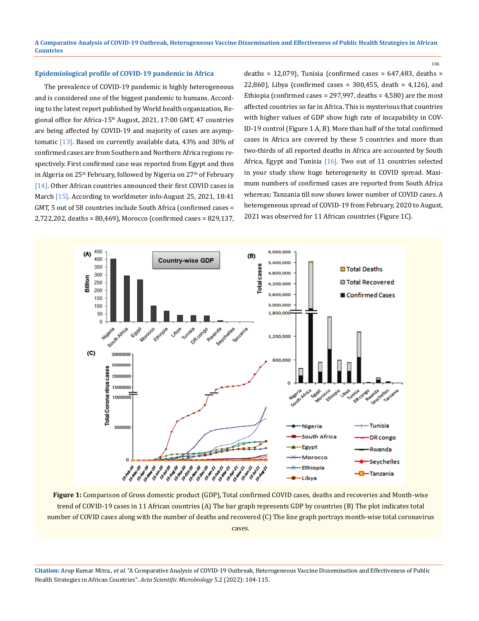## **Epidemiological profile of COVID-19 pandemic in Africa**

The prevalence of COVID-19 pandemic is highly heterogeneous and is considered one of the biggest pandemic to humans. According to the latest report published by World health organization, Regional office for Africa-15<sup>th</sup> August, 2021, 17:00 GMT, 47 countries are being affected by COVID-19 and majority of cases are asymptomatic [13]. Based on currently available data, 43% and 30% of confirmed cases are from Southern and Northern Africa regions respectively. First confirmed case was reported from Egypt and then in Algeria on 25<sup>th</sup> February, followed by Nigeria on 27<sup>th</sup> of February [14]. Other African countries announced their first COVID cases in March [15]. According to worldmeter info-August 25, 2021, 18:41 GMT, 5 out of 58 countries include South Africa (confirmed cases = 2,722,202, deaths = 80,469), Morocco (confirmed cases = 829,137, deaths = 12,079), Tunisia (confirmed cases =  $647,483$ , deaths = 22,860), Libya (confirmed cases = 300,455, death = 4,126), and Ethiopia (confirmed cases = 297,997, deaths = 4,580) are the most affected countries so far in Africa. This is mysterious that countries with higher values of GDP show high rate of incapability in COV-ID-19 control (Figure 1 A, B). More than half of the total confirmed cases in Africa are covered by these 5 countries and more than two-thirds of all reported deaths in Africa are accounted by South Africa, Egypt and Tunisia [16]. Two out of 11 countries selected in your study show huge heterogeneity in COVID spread. Maximum numbers of confirmed cases are reported from South Africa whereas; Tanzania till now shows lower number of COVID cases. A heterogeneous spread of COVID-19 from February, 2020 to August, 2021 was observed for 11 African countries (Figure 1C).

106



**Figure 1:** Comparison of Gross domestic product (GDP), Total confirmed COVID cases, deaths and recoveries and Month-wise trend of COVID-19 cases in 11 African countries (A) The bar graph represents GDP by countries (B) The plot indicates total number of COVID cases along with the number of deaths and recovered (C) The line graph portrays month-wise total coronavirus cases.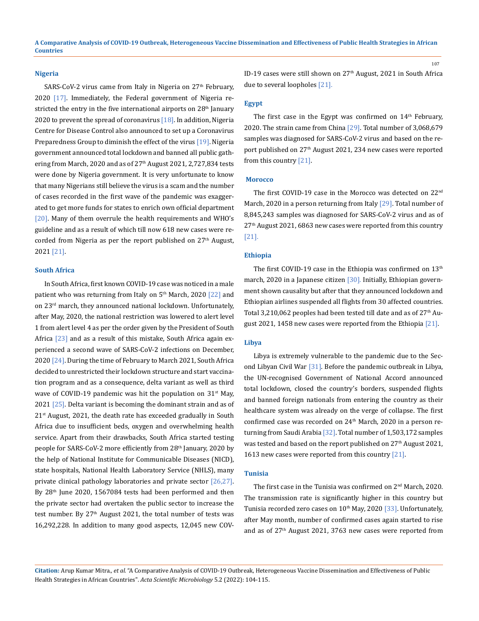#### **Nigeria**

SARS-CoV-2 virus came from Italy in Nigeria on 27<sup>th</sup> February, 2020 [17]. Immediately, the Federal government of Nigeria restricted the entry in the five international airports on 28<sup>th</sup> January 2020 to prevent the spread of coronavirus  $[18]$ . In addition, Nigeria Centre for Disease Control also announced to set up a Coronavirus Preparedness Group to diminish the effect of the virus [19]. Nigeria government announced total lockdown and banned all public gathering from March, 2020 and as of 27<sup>th</sup> August 2021, 2,727,834 tests were done by Nigeria government. It is very unfortunate to know that many Nigerians still believe the virus is a scam and the number of cases recorded in the first wave of the pandemic was exaggerated to get more funds for states to enrich own official department [20]. Many of them overrule the health requirements and WHO's guideline and as a result of which till now 618 new cases were recorded from Nigeria as per the report published on  $27<sup>th</sup>$  August, 2021 [21].

#### **South Africa**

In South Africa, first known COVID-19 case was noticed in a male patient who was returning from Italy on 5<sup>th</sup> March, 2020 [22] and on 23<sup>rd</sup> march, they announced national lockdown. Unfortunately, after May, 2020, the national restriction was lowered to alert level 1 from alert level 4 as per the order given by the President of South Africa [23] and as a result of this mistake, South Africa again experienced a second wave of SARS-CoV-2 infections on December, 2020 [24]. During the time of February to March 2021, South Africa decided to unrestricted their lockdown structure and start vaccination program and as a consequence, delta variant as well as third wave of COVID-19 pandemic was hit the population on  $31^{st}$  May, 2021 [25]. Delta variant is becoming the dominant strain and as of  $21<sup>st</sup>$  August, 2021, the death rate has exceeded gradually in South Africa due to insufficient beds, oxygen and overwhelming health service. Apart from their drawbacks, South Africa started testing people for SARS-CoV-2 more efficiently from 28<sup>th</sup> January, 2020 by the help of National Institute for Communicable Diseases (NICD), state hospitals, National Health Laboratory Service (NHLS), many private clinical pathology laboratories and private sector  $[26,27]$ . By 28<sup>th</sup> June 2020, 1567084 tests had been performed and then the private sector had overtaken the public sector to increase the test number. By  $27<sup>th</sup>$  August 2021, the total number of tests was 16,292,228. In addition to many good aspects, 12,045 new COV-

ID-19 cases were still shown on 27<sup>th</sup> August, 2021 in South Africa due to several loopholes [21].

## **Egypt**

The first case in the Egypt was confirmed on  $14<sup>th</sup>$  February, 2020. The strain came from China [29]. Total number of 3,068,679 samples was diagnosed for SARS-CoV-2 virus and based on the report published on 27<sup>th</sup> August 2021, 234 new cases were reported from this country [21].

## **Morocco**

The first COVID-19 case in the Morocco was detected on 22<sup>nd</sup> March, 2020 in a person returning from Italy [29]. Total number of 8,845,243 samples was diagnosed for SARS-CoV-2 virus and as of 27th August 2021, 6863 new cases were reported from this country [21].

#### **Ethiopia**

The first COVID-19 case in the Ethiopia was confirmed on  $13<sup>th</sup>$ march, 2020 in a Japanese citizen [30]. Initially, Ethiopian government shown causality but after that they announced lockdown and Ethiopian airlines suspended all flights from 30 affected countries. Total 3,210,062 peoples had been tested till date and as of  $27<sup>th</sup>$  August 2021, 1458 new cases were reported from the Ethiopia [21].

#### **Libya**

Libya is extremely vulnerable to the pandemic due to the Second Libyan Civil War [31]. Before the pandemic outbreak in Libya, the UN-recognised Government of National Accord announced total lockdown, closed the country's borders, suspended flights and banned foreign nationals from entering the country as their healthcare system was already on the verge of collapse. The first confirmed case was recorded on 24<sup>th</sup> March, 2020 in a person returning from Saudi Arabia [32]. Total number of 1,503,172 samples was tested and based on the report published on 27<sup>th</sup> August 2021, 1613 new cases were reported from this country  $[21]$ .

#### **Tunisia**

The first case in the Tunisia was confirmed on 2<sup>nd</sup> March, 2020. The transmission rate is significantly higher in this country but Tunisia recorded zero cases on 10<sup>th</sup> May, 2020 [33]. Unfortunately, after May month, number of confirmed cases again started to rise and as of 27<sup>th</sup> August 2021, 3763 new cases were reported from

**Citation:** Arup Kumar Mitra*., et al.* "A Comparative Analysis of COVID-19 Outbreak, Heterogeneous Vaccine Dissemination and Effectiveness of Public Health Strategies in African Countries". *Acta Scientific Microbiology* 5.2 (2022): 104-115.

107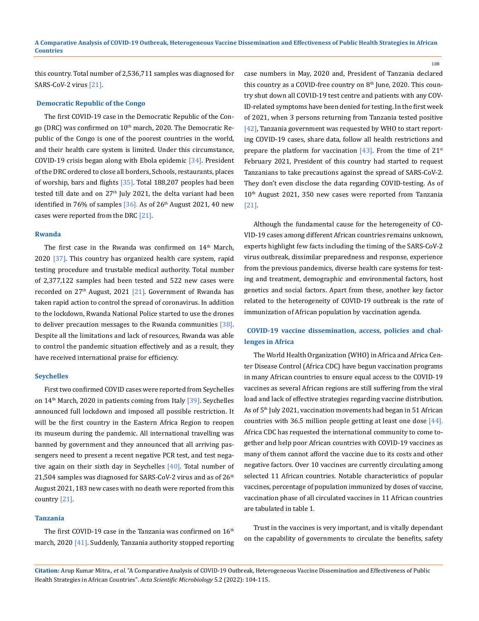this country. Total number of 2,536,711 samples was diagnosed for SARS-CoV-2 virus [21].

### **Democratic Republic of the Congo**

The first COVID-19 case in the Democratic Republic of the Congo (DRC) was confirmed on 10<sup>th</sup> march, 2020. The Democratic Republic of the Congo is one of the poorest countries in the world, and their health care system is limited. Under this circumstance, COVID-19 crisis began along with Ebola epidemic  $[34]$ . President of the DRC ordered to close all borders, Schools, restaurants, places of worship, bars and flights  $[35]$ . Total 188,207 peoples had been tested till date and on  $27<sup>th</sup>$  July 2021, the delta variant had been identified in 76% of samples  $[36]$ . As of 26<sup>th</sup> August 2021, 40 new cases were reported from the DRC [21].

#### **Rwanda**

The first case in the Rwanda was confirmed on  $14<sup>th</sup>$  March, 2020  $\left[37\right]$ . This country has organized health care system, rapid testing procedure and trustable medical authority. Total number of 2,377,122 samples had been tested and 522 new cases were recorded on  $27<sup>th</sup>$  August, 2021 [21]. Government of Rwanda has taken rapid action to control the spread of coronavirus. In addition to the lockdown, Rwanda National Police started to use the drones to deliver precaution messages to the Rwanda communities [38]. Despite all the limitations and lack of resources, Rwanda was able to control the pandemic situation effectively and as a result, they have received international praise for efficiency.

#### **Seychelles**

First two confirmed COVID cases were reported from Seychelles on 14<sup>th</sup> March, 2020 in patients coming from Italy [39]. Seychelles announced full lockdown and imposed all possible restriction. It will be the first country in the Eastern Africa Region to reopen its museum during the pandemic. All international travelling was banned by government and they announced that all arriving passengers need to present a recent negative PCR test, and test negative again on their sixth day in Seychelles [40]. Total number of 21,504 samples was diagnosed for SARS-CoV-2 virus and as of 26<sup>th</sup> August 2021, 183 new cases with no death were reported from this country [21].

## **Tanzania**

The first COVID-19 case in the Tanzania was confirmed on  $16<sup>th</sup>$ march, 2020 [41]. Suddenly, Tanzania authority stopped reporting case numbers in May, 2020 and, President of Tanzania declared this country as a COVID-free country on  $8<sup>th</sup>$  June, 2020. This country shut down all COVID-19 test centre and patients with any COV-ID-related symptoms have been denied for testing. In the first week of 2021, when 3 persons returning from Tanzania tested positive [42], Tanzania government was requested by WHO to start reporting COVID-19 cases, share data, follow all health restrictions and prepare the platform for vaccination  $[43]$ . From the time of  $21^{st}$ February 2021, President of this country had started to request Tanzanians to take precautions against the spread of SARS-CoV-2. They don't even disclose the data regarding COVID-testing. As of 10th August 2021, 350 new cases were reported from Tanzania [21].

108

Although the fundamental cause for the heterogeneity of CO-VID-19 cases among different African countries remains unknown, experts highlight few facts including the timing of the SARS-CoV-2 virus outbreak, dissimilar preparedness and response, experience from the previous pandemics, diverse health care systems for testing and treatment, demographic and environmental factors, host genetics and social factors. Apart from these, another key factor related to the heterogeneity of COVID-19 outbreak is the rate of immunization of African population by vaccination agenda.

## **COVID-19 vaccine dissemination, access, policies and challenges in Africa**

The World Health Organization (WHO) in Africa and Africa Center Disease Control (Africa CDC) have begun vaccination programs in many African countries to ensure equal access to the COVID-19 vaccines as several African regions are still suffering from the viral load and lack of effective strategies regarding vaccine distribution. As of 5th July 2021, vaccination movements had began in 51 African countries with 36.5 million people getting at least one dose [44]. Africa CDC has requested the international community to come together and help poor African countries with COVID-19 vaccines as many of them cannot afford the vaccine due to its costs and other negative factors. Over 10 vaccines are currently circulating among selected 11 African countries. Notable characteristics of popular vaccines, percentage of population immunized by doses of vaccine, vaccination phase of all circulated vaccines in 11 African countries are tabulated in table 1.

Trust in the vaccines is very important, and is vitally dependant on the capability of governments to circulate the benefits, safety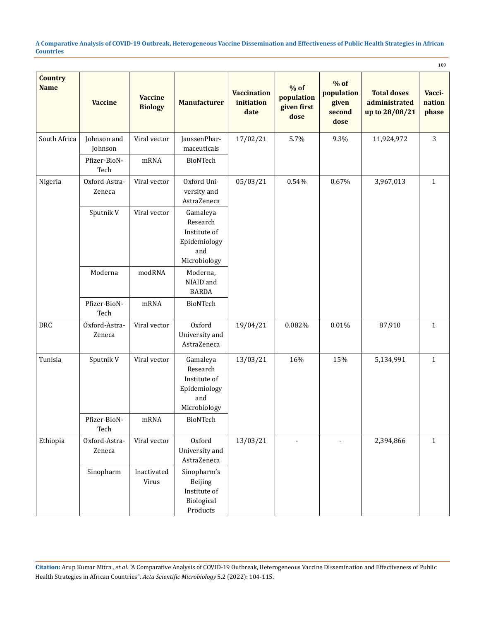|                               |                         |                                  |                                                                             |                                          |                                             |                                                 |                                                       | 109                       |
|-------------------------------|-------------------------|----------------------------------|-----------------------------------------------------------------------------|------------------------------------------|---------------------------------------------|-------------------------------------------------|-------------------------------------------------------|---------------------------|
| <b>Country</b><br><b>Name</b> | <b>Vaccine</b>          | <b>Vaccine</b><br><b>Biology</b> | <b>Manufacturer</b>                                                         | <b>Vaccination</b><br>initiation<br>date | $%$ of<br>population<br>given first<br>dose | $%$ of<br>population<br>given<br>second<br>dose | <b>Total doses</b><br>administrated<br>up to 28/08/21 | Vacci-<br>nation<br>phase |
| South Africa                  | Johnson and<br>Johnson  | Viral vector                     | JanssenPhar-<br>maceuticals                                                 | 17/02/21                                 | 5.7%                                        | 9.3%                                            | 11,924,972                                            | 3                         |
|                               | Pfizer-BioN-<br>Tech    | mRNA                             | BioNTech                                                                    |                                          |                                             |                                                 |                                                       |                           |
| Nigeria                       | Oxford-Astra-<br>Zeneca | Viral vector                     | Oxford Uni-<br>versity and<br>AstraZeneca                                   | 05/03/21                                 | 0.54%                                       | 0.67%                                           | 3,967,013                                             | $\mathbf{1}$              |
|                               | Sputnik V               | Viral vector                     | Gamaleya<br>Research<br>Institute of<br>Epidemiology<br>and<br>Microbiology |                                          |                                             |                                                 |                                                       |                           |
|                               | Moderna                 | modRNA                           | Moderna,<br>NIAID and<br><b>BARDA</b>                                       |                                          |                                             |                                                 |                                                       |                           |
|                               | Pfizer-BioN-<br>Tech    | mRNA                             | BioNTech                                                                    |                                          |                                             |                                                 |                                                       |                           |
| DRC                           | Oxford-Astra-<br>Zeneca | Viral vector                     | Oxford<br>University and<br>AstraZeneca                                     | 19/04/21                                 | 0.082%                                      | 0.01%                                           | 87,910                                                | $\mathbf{1}$              |
| Tunisia                       | Sputnik V               | Viral vector                     | Gamaleya<br>Research<br>Institute of<br>Epidemiology<br>and<br>Microbiology | 13/03/21                                 | 16%                                         | 15%                                             | 5,134,991                                             | $\mathbf{1}$              |
|                               | Pfizer-BioN-<br>Tech    | $\operatorname{mRNA}$            | BioNTech                                                                    |                                          |                                             |                                                 |                                                       |                           |
| Ethiopia                      | Oxford-Astra-<br>Zeneca | Viral vector                     | Oxford<br>University and<br>AstraZeneca                                     | 13/03/21                                 | $\overline{\phantom{a}}$                    | $\overline{\phantom{a}}$                        | 2,394,866                                             | $\mathbf{1}$              |
|                               | Sinopharm               | Inactivated<br>Virus             | Sinopharm's<br>Beijing<br>Institute of<br>Biological<br>Products            |                                          |                                             |                                                 |                                                       |                           |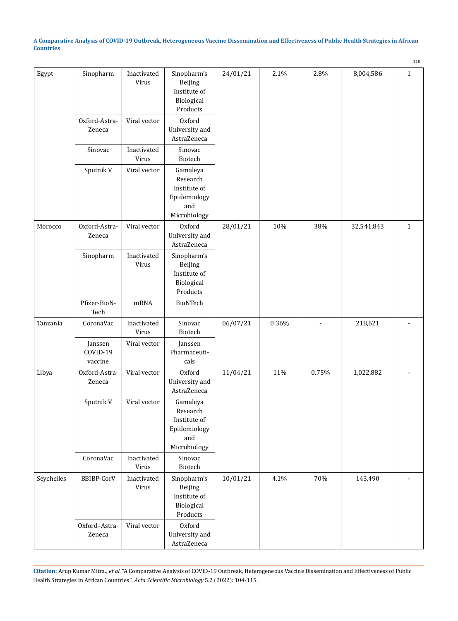|            |                                |                      |                                                                             |          |       |                          |            | 110          |
|------------|--------------------------------|----------------------|-----------------------------------------------------------------------------|----------|-------|--------------------------|------------|--------------|
| Egypt      | Sinopharm                      | Inactivated<br>Virus | Sinopharm's<br>Beijing<br>Institute of<br>Biological<br>Products            | 24/01/21 | 2.1%  | 2.8%                     | 8,004,586  | $\mathbf{1}$ |
|            | Oxford-Astra-<br>Zeneca        | Viral vector         | Oxford<br>University and<br>AstraZeneca                                     |          |       |                          |            |              |
|            | Sinovac                        | Inactivated<br>Virus | Sinovac<br>Biotech                                                          |          |       |                          |            |              |
|            | Sputnik V                      | Viral vector         | Gamaleya<br>Research<br>Institute of<br>Epidemiology<br>and<br>Microbiology |          |       |                          |            |              |
| Morocco    | Oxford-Astra-<br>Zeneca        | Viral vector         | Oxford<br>University and<br>AstraZeneca                                     | 28/01/21 | 10%   | 38%                      | 32,541,843 | $\mathbf{1}$ |
|            | Sinopharm                      | Inactivated<br>Virus | Sinopharm's<br>Beijing<br>Institute of<br>Biological<br>Products            |          |       |                          |            |              |
|            | Pfizer-BioN-<br>Tech           | mRNA                 | BioNTech                                                                    |          |       |                          |            |              |
| Tanzania   | CoronaVac                      | Inactivated<br>Virus | Sinovac<br>Biotech                                                          | 06/07/21 | 0.36% | $\overline{\phantom{a}}$ | 218,621    |              |
|            | Janssen<br>COVID-19<br>vaccine | Viral vector         | Janssen<br>Pharmaceuti-<br>cals                                             |          |       |                          |            |              |
| Libya      | Oxford-Astra-<br>Zeneca        | Viral vector         | Oxford<br>University and<br>AstraZeneca                                     | 11/04/21 | 11%   | 0.75%                    | 1,022,882  |              |
|            | Sputnik V                      | Viral vector         | Gamaleya<br>Research<br>Institute of<br>Epidemiology<br>and<br>Microbiology |          |       |                          |            |              |
|            | CoronaVac                      | Inactivated<br>Virus | Sinovac<br>Biotech                                                          |          |       |                          |            |              |
| Seychelles | <b>BBIBP-CorV</b>              | Inactivated<br>Virus | Sinopharm's<br>Beijing<br>Institute of<br>Biological<br>Products            | 10/01/21 | 4.1%  | 70%                      | 143,490    |              |
|            | Oxford-Astra-<br>Zeneca        | Viral vector         | Oxford<br>University and<br>AstraZeneca                                     |          |       |                          |            |              |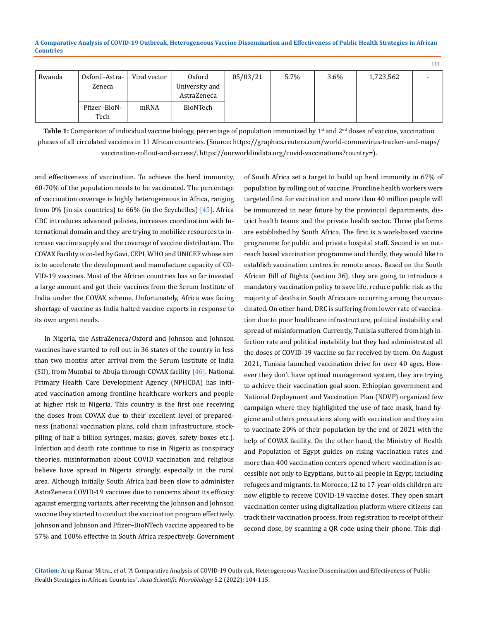|        |               |              |                |          |      |         |           | 111 |
|--------|---------------|--------------|----------------|----------|------|---------|-----------|-----|
| Rwanda | Oxford-Astra- | Viral vector | Oxford         | 05/03/21 | 5.7% | $3.6\%$ | 1,723,562 |     |
|        | Zeneca        |              | University and |          |      |         |           |     |
|        |               |              | AstraZeneca    |          |      |         |           |     |
|        | Pfizer-BioN-  | mRNA         | BioNTech       |          |      |         |           |     |
|        | Tech          |              |                |          |      |         |           |     |

**Table 1:** Comparison of individual vaccine biology, percentage of population immunized by  $1<sup>st</sup>$  and  $2<sup>nd</sup>$  doses of vaccine, vaccination phases of all circulated vaccines in 11 African countries. (Source: https://graphics.reuters.com/world-coronavirus-tracker-and-maps/ vaccination-rollout-and-access/, https://ourworldindata.org/covid-vaccinations?country=).

and effectiveness of vaccination. To achieve the herd immunity, 60-70% of the population needs to be vaccinated. The percentage of vaccination coverage is highly heterogeneous in Africa, ranging from  $0\%$  (in six countries) to  $66\%$  (in the Seychelles)  $[45]$ . Africa CDC introduces advanced policies, increases coordination with International domain and they are trying to mobilize resources to increase vaccine supply and the coverage of vaccine distribution. The COVAX Facility is co-led by Gavi, CEPI, WHO and UNICEF whose aim is to accelerate the development and manufacture capacity of CO-VID-19 vaccines. Most of the African countries has so far invested a large amount and got their vaccines from the Serum Institute of India under the COVAX scheme. Unfortunately, Africa was facing shortage of vaccine as India halted vaccine exports in response to its own urgent needs.

In Nigeria, the AstraZeneca/Oxford and Johnson and Johnson vaccines have started to roll out in 36 states of the country in less than two months after arrival from the Serum Institute of India (SII), from Mumbai to Abuja through COVAX facility [46]. National Primary Health Care Development Agency (NPHCDA) has initiated vaccination among frontline healthcare workers and people at higher risk in Nigeria. This country is the first one receiving the doses from COVAX due to their excellent level of preparedness (national vaccination plans, cold chain infrastructure, stockpiling of half a billion syringes, masks, gloves, safety boxes etc.). Infection and death rate continue to rise in Nigeria as conspiracy theories, misinformation about COVID vaccination and religious believe have spread in Nigeria strongly, especially in the rural area. Although initially South Africa had been slow to administer AstraZeneca COVID-19 vaccines due to concerns about its efficacy against emerging variants, after receiving the Johnson and Johnson vaccine they started to conduct the vaccination program effectively. Johnson and Johnson and Pfizer–BioNTech vaccine appeared to be 57% and 100% effective in South Africa respectively. Government

of South Africa set a target to build up herd immunity in 67% of population by rolling out of vaccine. Frontline health workers were targeted first for vaccination and more than 40 million people will be immunized in near future by the provincial departments, district health teams and the private health sector. Three platforms are established by South Africa. The first is a work-based vaccine programme for public and private hospital staff. Second is an outreach based vaccination programme and thirdly, they would like to establish vaccination centres in remote areas. Based on the South African Bill of Rights (section 36), they are going to introduce a mandatory vaccination policy to save life, reduce public risk as the majority of deaths in South Africa are occurring among the unvaccinated. On other hand, DRC is suffering from lower rate of vaccination due to poor healthcare infrastructure, political instability and spread of misinformation. Currently, Tunisia suffered from high infection rate and political instability but they had administrated all the doses of COVID-19 vaccine so far received by them. On August 2021, Tunisia launched vaccination drive for over 40 ages. However they don't have optimal management system, they are trying to achieve their vaccination goal soon. Ethiopian government and National Deployment and Vaccination Plan (NDVP) organized few campaign where they highlighted the use of face mask, hand hygiene and others precautions along with vaccination and they aim to vaccinate 20% of their population by the end of 2021 with the help of COVAX facility. On the other hand, the Ministry of Health and Population of Egypt guides on rising vaccination rates and more than 400 vaccination centers opened where vaccination is accessible not only to Egyptians, but to all people in Egypt, including refugees and migrants. In Morocco, 12 to 17-year-olds children are now eligible to receive COVID-19 vaccine doses. They open smart vaccination center using digitalization platform where citizens can track their vaccination process, from registration to receipt of their second dose, by scanning a QR code using their phone. This digi-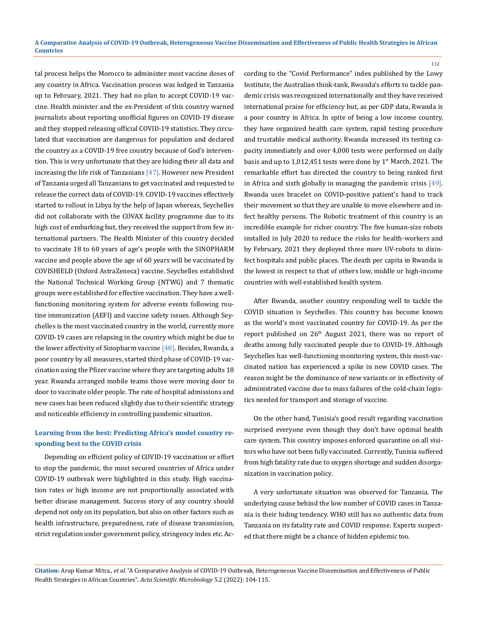tal process helps the Morocco to administer most vaccine doses of any country in Africa. Vaccination process was lodged in Tanzania up to February, 2021. They had no plan to accept COVID-19 vaccine. Health minister and the ex-President of this country warned journalists about reporting unofficial figures on COVID-19 disease and they stopped releasing official COVID-19 statistics. They circulated that vaccination are dangerous for population and declared the country as a COVID-19 free country because of God's intervention. This is very unfortunate that they are hiding their all data and increasing the life risk of Tanzanians  $[47]$ . However new President of Tanzania urged all Tanzanians to get vaccinated and requested to release the correct data of COVID-19. COVID-19 vaccines effectively started to rollout in Libya by the help of Japan whereas, Seychelles did not collaborate with the COVAX facility programme due to its high cost of embarking but, they received the support from few international partners. The Health Minister of this country decided to vaccinate 18 to 60 years of age's people with the SINOPHARM vaccine and people above the age of 60 years will be vaccinated by COVISHIELD (Oxford AstraZeneca) vaccine. Seychelles established the National Technical Working Group (NTWG) and 7 thematic groups were established for effective vaccination. They have a wellfunctioning monitoring system for adverse events following routine immunization (AEFI) and vaccine safety issues. Although Seychelles is the most vaccinated country in the world, currently more COVID-19 cases are relapsing in the country which might be due to the lower affectivity of Sinopharm vaccine  $[48]$ . Besides, Rwanda, a poor country by all measures, started third phase of COVID-19 vaccination using the Pfizer vaccine where they are targeting adults 18 year. Rwanda arranged mobile teams those were moving door to door to vaccinate older people. The rate of hospital admissions and new cases has been reduced slightly due to their scientific strategy and noticeable efficiency in controlling pandemic situation.

## **Learning from the best: Predicting Africa's model country responding best to the COVID crisis**

Depending on efficient policy of COVID-19 vaccination or effort to stop the pandemic, the most secured countries of Africa under COVID-19 outbreak were highlighted in this study. High vaccination rates or high income are not proportionally associated with better disease management. Success story of any country should depend not only on its population, but also on other factors such as health infrastructure, preparedness, rate of disease transmission, strict regulation under government policy, stringency index etc. According to the "Covid Performance" index published by the Lowy Institute, the Australian think-tank, Rwanda's efforts to tackle pandemic crisis was recognized internationally and they have received international praise for efficiency but, as per GDP data, Rwanda is a poor country in Africa. In spite of being a low income country, they have organized health care system, rapid testing procedure and trustable medical authority. Rwanda increased its testing capacity immediately and over 4,000 tests were performed on daily basis and up to  $1,012,451$  tests were done by  $1^{st}$  March, 2021. The remarkable effort has directed the country to being ranked first in Africa and sixth globally in managing the pandemic crisis [49]. Rwanda uses bracelet on COVID-positive patient's hand to track their movement so that they are unable to move elsewhere and infect healthy persons. The Robotic treatment of this country is an incredible example for richer country. The five human-size robots installed in July 2020 to reduce the risks for health-workers and by February, 2021 they deployed three more UV-robots to disinfect hospitals and public places. The death per capita in Rwanda is the lowest in respect to that of others low, middle or high-income countries with well established health system.

112

After Rwanda, another country responding well to tackle the COVID situation is Seychelles. This country has become known as the world's most vaccinated country for COVID-19. As per the report published on 26th August 2021, there was no report of deaths among fully vaccinated people due to COVID-19. Although Seychelles has well-functioning monitoring system, this most-vaccinated nation has experienced a spike in new COVID cases. The reason might be the dominance of new variants or in effectivity of administrated vaccine due to mass failures of the cold-chain logistics needed for transport and storage of vaccine.

On the other hand, Tunisia's good result regarding vaccination surprised everyone even though they don't have optimal health care system. This country imposes enforced quarantine on all visitors who have not been fully vaccinated. Currently, Tunisia suffered from high fatality rate due to oxygen shortage and sudden disorganization in vaccination policy.

A very unfortunate situation was observed for Tanzania. The underlying cause behind the low number of COVID cases in Tanzania is their hiding tendency. WHO still has no authentic data from Tanzania on its fatality rate and COVID response. Experts suspected that there might be a chance of hidden epidemic too.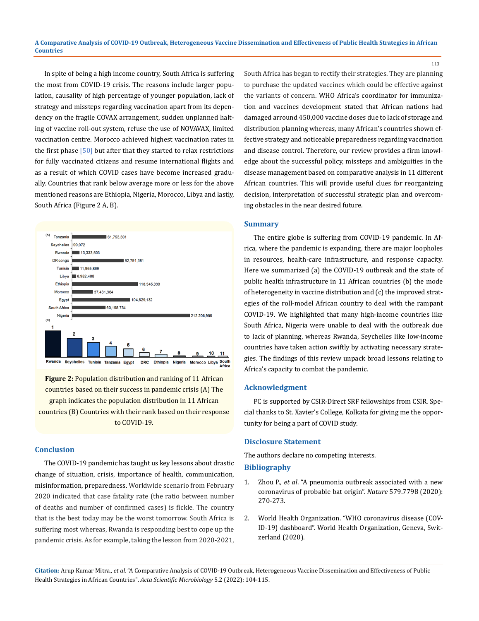In spite of being a high income country, South Africa is suffering the most from COVID-19 crisis. The reasons include larger population, causality of high percentage of younger population, lack of strategy and missteps regarding vaccination apart from its dependency on the fragile COVAX arrangement, sudden unplanned halting of vaccine roll-out system, refuse the use of NOVAVAX, limited vaccination centre. Morocco achieved highest vaccination rates in the first phase  $[50]$  but after that they started to relax restrictions for fully vaccinated citizens and resume international flights and as a result of which COVID cases have become increased gradually. Countries that rank below average more or less for the above mentioned reasons are Ethiopia, Nigeria, Morocco, Libya and lastly, South Africa (Figure 2 A, B).



**Figure 2:** Population distribution and ranking of 11 African countries based on their success in pandemic crisis (A) The graph indicates the population distribution in 11 African countries (B) Countries with their rank based on their response to COVID-19.

## **Conclusion**

The COVID-19 pandemic has taught us key lessons about drastic change of situation, crisis, importance of health, communication, misinformation, preparedness. Worldwide scenario from February 2020 indicated that case fatality rate (the ratio between number of deaths and number of confirmed cases) is fickle. The country that is the best today may be the worst tomorrow. South Africa is suffering most whereas, Rwanda is responding best to cope up the pandemic crisis. As for example, taking the lesson from 2020-2021, South Africa has began to rectify their strategies. They are planning to purchase the updated vaccines which could be effective against the variants of concern. WHO Africa's coordinator for immunization and vaccines development stated that African nations had damaged arround 450,000 vaccine doses due to lack of storage and distribution planning whereas, many African's countries shown effective strategy and noticeable preparedness regarding vaccination and disease control. Therefore, our review provides a firm knowledge about the successful policy, missteps and ambiguities in the disease management based on comparative analysis in 11 different African countries. This will provide useful clues for reorganizing decision, interpretation of successful strategic plan and overcoming obstacles in the near desired future.

113

### **Summary**

The entire globe is suffering from COVID-19 pandemic. In Africa, where the pandemic is expanding, there are major loopholes in resources, health-care infrastructure, and response capacity. Here we summarized (a) the COVID-19 outbreak and the state of public health infrastructure in 11 African countries (b) the mode of heterogeneity in vaccine distribution and (c) the improved strategies of the roll-model African country to deal with the rampant COVID-19. We highlighted that many high-income countries like South Africa, Nigeria were unable to deal with the outbreak due to lack of planning, whereas Rwanda, Seychelles like low-income countries have taken action swiftly by activating necessary strategies. The findings of this review unpack broad lessons relating to Africa's capacity to combat the pandemic.

## **Acknowledgment**

PC is supported by CSIR-Direct SRF fellowships from CSIR. Special thanks to St. Xavier's College, Kolkata for giving me the opportunity for being a part of COVID study.

## **Disclosure Statement**

The authors declare no competing interests.

## **Bibliography**

- 1. Zhou P., *et al*[. "A pneumonia outbreak associated with a new](https://www.nature.com/articles/s41586-020-2012-7)  [coronavirus of probable bat origin".](https://www.nature.com/articles/s41586-020-2012-7) *Nature* 579.7798 (2020): [270-273.](https://www.nature.com/articles/s41586-020-2012-7)
- 2. World Health Organization. "WHO coronavirus disease (COV-ID-19) dashboard". World Health Organization, Geneva, Switzerland (2020).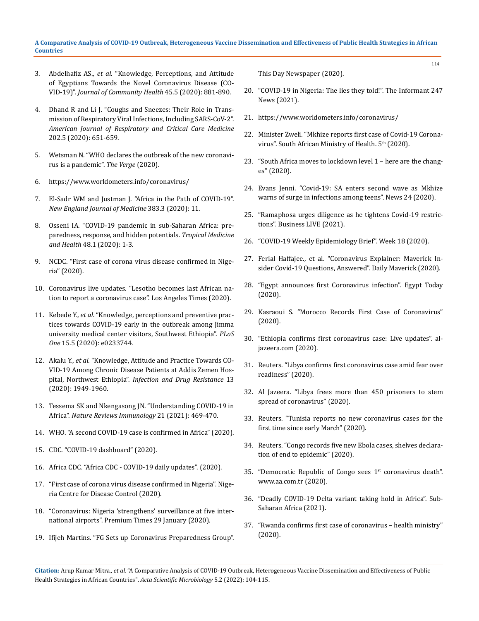- 3. Abdelhafiz AS., *et al*[. "Knowledge, Perceptions, and Attitude](https://link.springer.com/article/10.1007/s10900-020-00827-7)  [of Egyptians Towards the Novel Coronavirus Disease \(CO-](https://link.springer.com/article/10.1007/s10900-020-00827-7)VID-19)". *[Journal of Community Health](https://link.springer.com/article/10.1007/s10900-020-00827-7)* 45.5 (2020): 881-890.
- 4. [Dhand R and Li J. "Coughs and Sneezes: Their Role in Trans](https://www.atsjournals.org/doi/full/10.1164/rccm.202004-1263PP)[mission of Respiratory Viral Infections, Including SARS-CoV-2".](https://www.atsjournals.org/doi/full/10.1164/rccm.202004-1263PP)  *[American Journal of Respiratory and Critical Care Medicine](https://www.atsjournals.org/doi/full/10.1164/rccm.202004-1263PP)*  [202.5 \(2020\): 651-659.](https://www.atsjournals.org/doi/full/10.1164/rccm.202004-1263PP)
- 5. Wetsman N. "WHO declares the outbreak of the new coronavirus is a pandemic". *The Verge* (2020).
- 6. <https://www.worldometers.info/coronavirus/>
- 7. [El-Sadr WM and Justman J. "Africa in the Path of COVID-19".](https://pubmed.ncbi.nlm.nih.gov/32302075/)  *[New England Journal of Medicine](https://pubmed.ncbi.nlm.nih.gov/32302075/)* 383.3 (2020): 11.
- 8. Osseni IA. "COVID-19 pandemic in sub-Saharan Africa: preparedness, response, and hidden potentials. *Tropical Medicine and Health* 48.1 (2020): 1-3.
- 9. [NCDC. "First case of corona virus disease confirmed in Nige](https://ncdc.gov.ng/news/227/first-case-of-corona-virus-disease-confirmed-in-nigeria)[ria" \(2020\).](https://ncdc.gov.ng/news/227/first-case-of-corona-virus-disease-confirmed-in-nigeria)
- 10. [Coronavirus live updates. "Lesotho becomes last African na](https://www.aljazeera.com/news/2020/5/13/lesotho-becomes-last-african-country-to-record-coronavirus-case)[tion to report a coronavirus case". Los Angeles Times \(2020\).](https://www.aljazeera.com/news/2020/5/13/lesotho-becomes-last-african-country-to-record-coronavirus-case)
- 11. Kebede Y., *et al*[. "Knowledge, perceptions and preventive prac](https://journals.plos.org/plosone/article?id=10.1371/journal.pone.0233744)[tices towards COVID-19 early in the outbreak among Jimma](https://journals.plos.org/plosone/article?id=10.1371/journal.pone.0233744)  [university medical center visitors, Southwest Ethiopia".](https://journals.plos.org/plosone/article?id=10.1371/journal.pone.0233744) *PLoS One* [15.5 \(2020\): e0233744.](https://journals.plos.org/plosone/article?id=10.1371/journal.pone.0233744)
- 12. Akalu Y., *et al*[. "Knowledge, Attitude and Practice Towards CO-](https://pubmed.ncbi.nlm.nih.gov/32612371/)[VID-19 Among Chronic Disease Patients at Addis Zemen Hos](https://pubmed.ncbi.nlm.nih.gov/32612371/)pital, Northwest Ethiopia". *[Infection and Drug Resistance](https://pubmed.ncbi.nlm.nih.gov/32612371/)* 13 [\(2020\): 1949-1960.](https://pubmed.ncbi.nlm.nih.gov/32612371/)
- 13. [Tessema SK and Nkengasong JN. "Understanding COVID-19 in](https://doi.org/10.1038/s41577-021-00579-y)  Africa". *[Nature Reviews Immunology](https://doi.org/10.1038/s41577-021-00579-y)* 21 (2021): 469-470.
- 14. [WHO. "A second COVID-19 case is confirmed in Africa" \(2020\).](https://www.afro.who.int/news/second-covid-19-case-confirmed-africa)
- 15. [CDC. "COVID-19 dashboard" \(2020\).](https://africacdc.org/covid-19/)
- 16. [Africa CDC. "Africa CDC COVID-19 daily updates". \(2020\).](https://africacdc.org/covid-19/)
- 17. ["First case of corona virus disease confirmed in Nigeria". Nige](https://reliefweb.int/report/nigeria/first-case-coronavirus-disease-confirmed-nigeria)[ria Centre for Disease Control \(2020\).](https://reliefweb.int/report/nigeria/first-case-coronavirus-disease-confirmed-nigeria)
- 18. ["Coronavirus: Nigeria 'strengthens' surveillance at five inter](https://www.premiumtimesng.com/news/top-news/374865-coronavirus-nigeria-strengthens-surveillance-at-five-international-airports.html)[national airports". Premium Times 29 January \(2020\).](https://www.premiumtimesng.com/news/top-news/374865-coronavirus-nigeria-strengthens-surveillance-at-five-international-airports.html)
- 19. [Ifijeh Martins. "FG Sets up Coronavirus Preparedness Group".](https://www.thisdaylive.com/index.php/2020/01/31/fg-sets-up-coronavirus-preparedness-group/)

[This Day Newspaper \(2020\).](https://www.thisdaylive.com/index.php/2020/01/31/fg-sets-up-coronavirus-preparedness-group/)

20. "COVID-19 in Nigeria: The lies they told!". The Informant 247 News (2021).

114

- 21. <https://www.worldometers.info/coronavirus/>
- 22. Minister Zweli. "Mkhize reports first case of Covid-19 Coronavirus". South African Ministry of Health. 5<sup>th</sup> (2020).
- 23. ["South Africa moves to lockdown level 1 here are the chang](https://businesstech.co.za/news/trending/433943/south-africa-moves-to-lockdown-level-1-here-are-the-changes/)[es" \(2020\).](https://businesstech.co.za/news/trending/433943/south-africa-moves-to-lockdown-level-1-here-are-the-changes/)
- 24. [Evans Jenni. "Covid-19: SA enters second wave as Mkhize](https://www.news24.com/news24/SouthAfrica/News/covid-19-sa-enters-second-wave-as-mkhize-warns-of-surge-in-infections-among-teens-20201209)  [warns of surge in infections among teens". News 24 \(2020\).](https://www.news24.com/news24/SouthAfrica/News/covid-19-sa-enters-second-wave-as-mkhize-warns-of-surge-in-infections-among-teens-20201209)
- 25. ["Ramaphosa urges diligence as he tightens Covid-19 restric](https://www.businesslive.co.za/bd/national/2021-05-30-ramaphosa-urges-diligence-as-he-tightens-covid-19-restrictions/)[tions". Business LIVE \(2021\).](https://www.businesslive.co.za/bd/national/2021-05-30-ramaphosa-urges-diligence-as-he-tightens-covid-19-restrictions/)
- 26. "COVID-19 Weekly Epidemiology Brief". Week 18 (2020).
- 27. Ferial Haffajee., et al. "Coronavirus Explainer: Maverick Insider Covid-19 Questions, Answered". Daily Maverick (2020).
- 28. ["Egypt announces first Coronavirus infection". Egypt Today](https://www.egypttoday.com/Article/1/81641/Egypt-announces-first-Coronavirus-infection)  [\(2020\).](https://www.egypttoday.com/Article/1/81641/Egypt-announces-first-Coronavirus-infection)
- 29. Kasraoui S. "Morocco Records First Case of Coronavirus" (2020).
- 30. "Ethiopia confirms first coronavirus case: Live updates". aljazeera.com (2020).
- 31. [Reuters. "Libya confirms first coronavirus case amid fear over](https://www.reuters.com/article/us-health-coronavirus-libya-measures-idUSKBN21B2SF)  [readiness" \(2020\).](https://www.reuters.com/article/us-health-coronavirus-libya-measures-idUSKBN21B2SF)
- 32. [Al Jazeera. "Libya frees more than 450 prisoners to stem](https://www.aljazeera.com/news/2020/3/30/libya-frees-more-than-450-prisoners-to-stem-spread-of-coronavirus)  [spread of coronavirus" \(2020\).](https://www.aljazeera.com/news/2020/3/30/libya-frees-more-than-450-prisoners-to-stem-spread-of-coronavirus)
- 33. [Reuters. "Tunisia reports no new coronavirus cases for the](https://www.thehindu.com/news/international/tunisia-reports-no-new-coronavirus-cases-for-first-time-since-early-march/article31554209.ece)  [first time since early March" \(2020\).](https://www.thehindu.com/news/international/tunisia-reports-no-new-coronavirus-cases-for-first-time-since-early-march/article31554209.ece)
- 34. [Reuters. "Congo records five new Ebola cases, shelves declara](https://www.reuters.com/article/us-health-ebola-congo-idUSKBN21Z1SX)[tion of end to epidemic" \(2020\).](https://www.reuters.com/article/us-health-ebola-congo-idUSKBN21Z1SX)
- 35. "Democratic Republic of Congo sees  $1<sup>st</sup>$  coronavirus death". www.aa.com.tr (2020).
- 36. "Deadly COVID-19 Delta variant taking hold in Africa". Sub-Saharan Africa (2021).
- 37. ["Rwanda confirms first case of coronavirus health ministry"](https://www.reuters.com/article/us-health-coronavirus-rwanda-idUSKBN2110G0)  [\(2020\).](https://www.reuters.com/article/us-health-coronavirus-rwanda-idUSKBN2110G0)